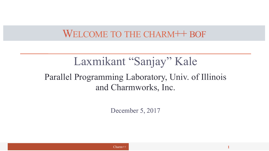#### WELCOME TO THE CHARM<sup>++</sup> BOF

### Laxmikant "Sanjay" Kale Parallel Programming Laboratory, Univ. of Illinois and Charmworks, Inc.

December 5, 2017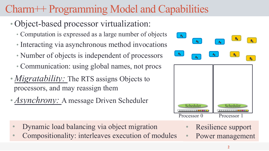## Charm++ Programming Model and Capabilities

#### • Object-based processor virtualization:

- Computation is expressed as a large number of objects
- Interacting via asynchronous method invocations
- Number of objects is independent of processors
- Communication: using global names, not procs
- *Migratability:* The RTS assigns Objects to processors, and may reassign them
- *Asynchrony:* A message Driven Scheduler



• Compositionality: interleaves execution of modules



- Resilience support
- Power management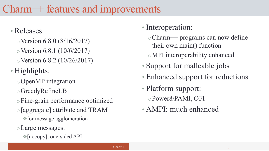#### Charm++ features and improvements

#### • Releases

- $\circ$  Version 6.8.0 (8/16/2017)
- $\circ$  Version 6.8.1 (10/6/2017)
- $\circ$  Version 6.8.2 (10/26/2017)
- Highlights:
	- oOpenMP integration
	- oGreedyRefineLB
	- oFine-grain performance optimized
	- o[aggregate] attribute and TRAM
		- $\triangle$  for message agglomeration
	- oLarge messages:
		- $\check{\phi}$ [nocopy], one-sided API

#### • Interoperation:

- oCharm++ programs can now define their own main() function
- oMPI interoperability enhanced
- Support for malleable jobs
- Enhanced support for reductions
- Platform support:
	- oPower8/PAMI, OFI
- AMPI: much enhanced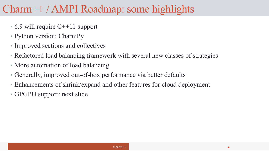### Charm++ / AMPI Roadmap: some highlights

- 6.9 will require C++11 support
- Python version: CharmPy
- Improved sections and collectives
- Refactored load balancing framework with several new classes of strategies
- More automation of load balancing
- Generally, improved out-of-box performance via better defaults
- Enhancements of shrink/expand and other features for cloud deployment
- GPGPU support: next slide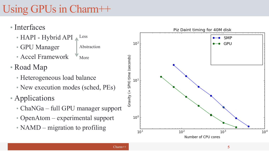# Using GPUs in Charm++

- Interfaces
	- HAPI Hybrid API  $\triangle$ <sup>Less</sup>
	- GPU Manager Abstraction
	- Accel Framework More
- Road Map
	- Heterogeneous load balance
	- New execution modes (sched, PEs)
- Applications
	- ChaNGa full GPU manager support
	- OpenAtom experimental support
	- NAMD migration to profiling

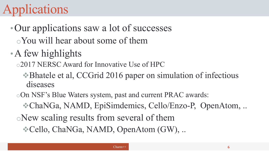# lications

### •Our applications saw a lot of successes oYou will hear about some of them

•A few highlights

o2017 NERSC Award for Innovative Use of HPC

vBhatele et al, CCGrid 2016 paper on simulation of infectious diseases

oOn NSF's Blue Waters system, past and current PRAC awards:

vChaNGa, NAMD, EpiSimdemics, Cello/Enzo-P, OpenAtom, ..

oNew scaling results from several of them

vCello, ChaNGa, NAMD, OpenAtom (GW), ..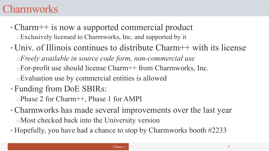#### **Charmworks**

- Charm++ is now a supported commercial product oExclusively licensed to Charmworks, Inc. and supported by it
- Univ. of Illinois continues to distribute Charm++ with its license o*Freely available in source code form, non-commercial use*  oFor-profit use should license Charm++ from Charmworks, Inc. oEvaluation use by commercial entities is allowed
- Funding from DoE SBIRs:

oPhase 2 for Charm++, Phase 1 for AMPI

- Charmworks has made several improvements over the last year oMost checked back into the University version
- Hopefully, you have had a chance to stop by Charmworks booth #2233